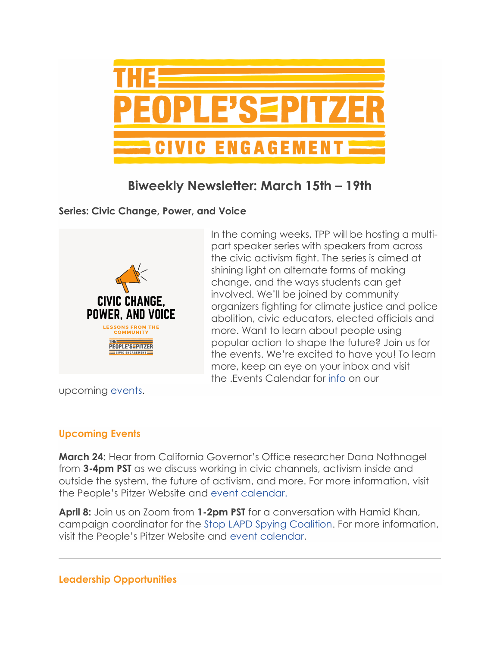

## **Biweekly Newsletter: March 15th – 19th**

**Series: Civic Change, Power, and Voice**



In the coming weeks, TPP will be hosting a multipart speaker series with speakers from across the civic activism fight. The series is aimed at shining light on alternate forms of making change, and the ways students can get involved. We'll be joined by community organizers fighting for climate justice and police abolition, civic educators, elected officials and more. Want to learn about people using popular action to shape the future? Join us for the events. We're excited to have you! To learn more, keep an eye on your inbox and visit the .Events Calendar for [info](https://www.pitzer.edu/event/dana-nothnagel-tpp-activists-speaker-series/) on our

upcoming [events.](https://www.pitzer.edu/event/stop-lapd-spying-coalitions-hamid-khan-tpp-activists-speaker-series/)

## **Upcoming Events**

**March 24:** Hear from California Governor's Office researcher Dana Nothnagel from **3-4pm PST** as we discuss working in civic channels, activism inside and outside the system, the future of activism, and more. For more information, visit the People's Pitzer Website and [event calendar.](https://www.pitzer.edu/event/dana-nothnagel-tpp-activists-speaker-series/)

**April 8:** Join us on Zoom from **1-2pm PST** for a conversation with Hamid Khan, campaign coordinator for the [Stop LAPD Spying Coalition.](https://stoplapdspying.org/) For more information, visit the People's Pitzer Website and [event calendar.](https://www.pitzer.edu/event/stop-lapd-spying-coalitions-hamid-khan-tpp-activists-speaker-series/)